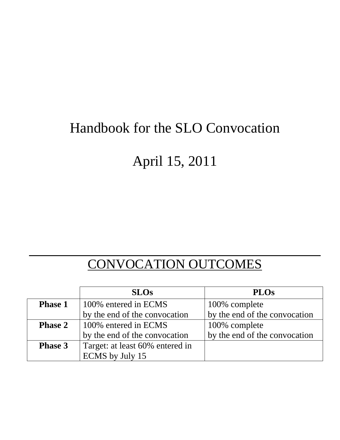## Handbook for the SLO Convocation

# April 15, 2011

### CONVOCATION OUTCOMES

|                | <b>SLOs</b>                     | <b>PLOs</b>                   |
|----------------|---------------------------------|-------------------------------|
| <b>Phase 1</b> | 100% entered in ECMS            | 100% complete                 |
|                | by the end of the convocation   | by the end of the convocation |
| <b>Phase 2</b> | 100% entered in ECMS            | 100% complete                 |
|                | by the end of the convocation   | by the end of the convocation |
| <b>Phase 3</b> | Target: at least 60% entered in |                               |
|                | ECMS by July 15                 |                               |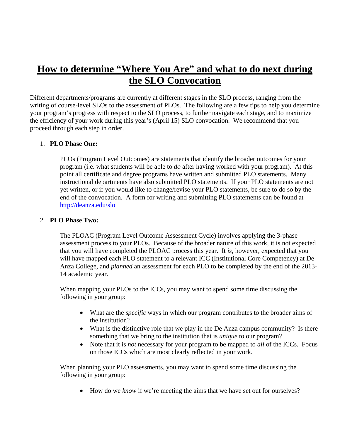### **How to determine "Where You Are" and what to do next during the SLO Convocation**

Different departments/programs are currently at different stages in the SLO process, ranging from the writing of course-level SLOs to the assessment of PLOs. The following are a few tips to help you determine your program's progress with respect to the SLO process, to further navigate each stage, and to maximize the efficiency of your work during this year's (April 15) SLO convocation. We recommend that you proceed through each step in order.

#### 1. **PLO Phase One:**

PLOs (Program Level Outcomes) are statements that identify the broader outcomes for your program (i.e. what students will be able to *do* after having worked with your program). At this point all certificate and degree programs have written and submitted PLO statements. Many instructional departments have also submitted PLO statements. If your PLO statements are not yet written, or if you would like to change/revise your PLO statements, be sure to do so by the end of the convocation. A form for writing and submitting PLO statements can be found at http://deanza.edu/slo

#### 2. **PLO Phase Two:**

The PLOAC (Program Level Outcome Assessment Cycle) involves applying the 3-phase assessment process to your PLOs. Because of the broader nature of this work, it is not expected that you will have completed the PLOAC process this year. It *is*, however, expected that you will have mapped each PLO statement to a relevant ICC (Institutional Core Competency) at De Anza College, and *planned* an assessment for each PLO to be completed by the end of the 2013- 14 academic year.

When mapping your PLOs to the ICCs, you may want to spend some time discussing the following in your group:

- What are the *specific* ways in which our program contributes to the broader aims of the institution?
- What is the distinctive role that we play in the De Anza campus community? Is there something that we bring to the institution that is *unique* to our program?
- Note that it is *not* necessary for your program to be mapped to *all* of the ICCs. Focus on those ICCs which are most clearly reflected in your work.

When planning your PLO assessments, you may want to spend some time discussing the following in your group:

• How do we *know* if we're meeting the aims that we have set out for ourselves?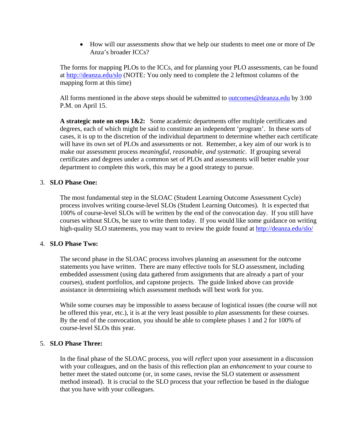How will our assessments *show* that we help our students to meet one or more of De Anza's broader ICCs?

The forms for mapping PLOs to the ICCs, and for planning your PLO assessments, can be found at http://deanza.edu/slo (NOTE: You only need to complete the 2 leftmost columns of the mapping form at this time)

All forms mentioned in the above steps should be submitted to outcomes@deanza.edu by 3:00 P.M. on April 15.

**A strategic note on steps 1&2:** Some academic departments offer multiple certificates and degrees, each of which might be said to constitute an independent 'program'. In these sorts of cases, it is up to the discretion of the individual department to determine whether each certificate will have its own set of PLOs and assessments or not. Remember, a key aim of our work is to make our assessment process *meaningful, reasonable, and systematic*. If grouping several certificates and degrees under a common set of PLOs and assessments will better enable your department to complete this work, this may be a good strategy to pursue.

#### 3. **SLO Phase One:**

The most fundamental step in the SLOAC (Student Learning Outcome Assessment Cycle) process involves writing course-level SLOs (Student Learning Outcomes). It is expected that 100% of course-level SLOs will be written by the end of the convocation day. If you still have courses without SLOs, be sure to write them today. If you would like some guidance on writing high-quality SLO statements, you may want to review the guide found at http://deanza.edu/slo/

#### 4. **SLO Phase Two:**

The second phase in the SLOAC process involves planning an assessment for the outcome statements you have written. There are many effective tools for SLO assessment, including embedded assessment (using data gathered from assignments that are already a part of your courses), student portfolios, and capstone projects. The guide linked above can provide assistance in determining which assessment methods will best work for you.

While some courses may be impossible to assess because of logistical issues (the course will not be offered this year, etc.), it is at the very least possible to *plan* assessments for these courses. By the end of the convocation, you should be able to complete phases 1 and 2 for 100% of course-level SLOs this year.

#### 5. **SLO Phase Three:**

In the final phase of the SLOAC process, you will *reflect* upon your assessment in a discussion with your colleagues, and on the basis of this reflection plan an *enhancement* to your course to better meet the stated outcome (or, in some cases, revise the SLO statement or assessment method instead). It is crucial to the SLO process that your reflection be based in the dialogue that you have with your colleagues.